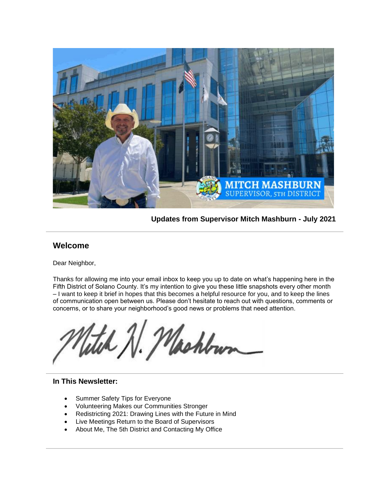

**Updates from Supervisor Mitch Mashburn - July 2021**

### **Welcome**

Dear Neighbor,

Thanks for allowing me into your email inbox to keep you up to date on what's happening here in the Fifth District of Solano County. It's my intention to give you these little snapshots every other month – I want to keep it brief in hopes that this becomes a helpful resource for you, and to keep the lines of communication open between us. Please don't hesitate to reach out with questions, comments or concerns, or to share your neighborhood's good news or problems that need attention.

tel N. Machbun

#### **In This Newsletter:**

- Summer Safety Tips for Everyone
- Volunteering Makes our Communities Stronger
- Redistricting 2021: Drawing Lines with the Future in Mind
- Live Meetings Return to the Board of Supervisors
- About Me, The 5th District and Contacting My Office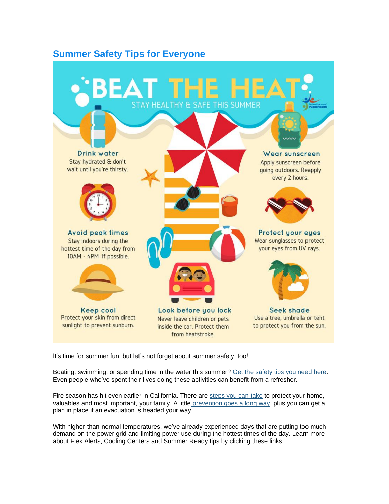## **Summer Safety Tips for Everyone**



It's time for summer fun, but let's not forget about summer safety, too!

Boating, swimming, or spending time in the water this summer? [Get the safety tips you need here.](https://gcc02.safelinks.protection.outlook.com/?url=https%3A%2F%2Furldefense.proofpoint.com%2Fv2%2Furl%3Fu%3Dhttps-3A__www.redcross.org_get-2Dhelp_how-2Dto-2Dprepare-2Dfor-2Demergencies_types-2Dof-2Demergencies_water-2Dsafety.html-23-3A-7E-3Atext-3DNever-2520swim-2520alone-253B-2520swim-2520with-2CSwim-2520sober.%26d%3DDwMFaQ%26c%3De71KFwQiz1Uq9SWN1ahPySYgwkr698SChpwjtuH1HMQ%26r%3Dr_rL1qMOPyx3ERWLoO9KSb_VPahVVki-UCdAEU-6nxs%26m%3D8xHZopQxIgGcPE4RGmnsm5ecZnrm3YxNE9oGJtIfnsg%26s%3DoOFvbtHyucrCDBmO7kT5OWqEojpXL6M2IBqF5roJvh4%26e%3D&data=04%7C01%7C%7Ce21d71c9ca2e415a3c9708d947d76010%7C5e7f20ace5f14f838c3bce44b8486421%7C0%7C0%7C637619812626782481%7CUnknown%7CTWFpbGZsb3d8eyJWIjoiMC4wLjAwMDAiLCJQIjoiV2luMzIiLCJBTiI6Ik1haWwiLCJXVCI6Mn0%3D%7C1000&sdata=OL0JVekegaVh%2FFq0ewrsxE59f3EVJ08FljVQ0gRQxMs%3D&reserved=0) Even people who've spent their lives doing these activities can benefit from a refresher.

Fire season has hit even earlier in California. There are [steps you can take](https://gcc02.safelinks.protection.outlook.com/?url=https%3A%2F%2Furldefense.proofpoint.com%2Fv2%2Furl%3Fu%3Dhttps-3A__cafiresafecouncil.org_%26d%3DDwMFaQ%26c%3De71KFwQiz1Uq9SWN1ahPySYgwkr698SChpwjtuH1HMQ%26r%3Dr_rL1qMOPyx3ERWLoO9KSb_VPahVVki-UCdAEU-6nxs%26m%3D8xHZopQxIgGcPE4RGmnsm5ecZnrm3YxNE9oGJtIfnsg%26s%3Dk_ywAsZjq3I-f1LiIihMdSWlce4yehAXRm8xkGwK4Ps%26e%3D&data=04%7C01%7C%7Ce21d71c9ca2e415a3c9708d947d76010%7C5e7f20ace5f14f838c3bce44b8486421%7C0%7C0%7C637619812626782481%7CUnknown%7CTWFpbGZsb3d8eyJWIjoiMC4wLjAwMDAiLCJQIjoiV2luMzIiLCJBTiI6Ik1haWwiLCJXVCI6Mn0%3D%7C1000&sdata=IIB7Rdhl03z93PJsdeqlLSRBQH9OTKPaTzabYsXQjdE%3D&reserved=0) to protect your home, valuables and most important, your family. A little [prevention goes a long way,](https://gcc02.safelinks.protection.outlook.com/?url=https%3A%2F%2Fwww.solanocounty.com%2Fdepts%2Foes%2Fgrs%2Fwildfire_prepredness_brochure_2021.asp&data=04%7C01%7C%7Ce21d71c9ca2e415a3c9708d947d76010%7C5e7f20ace5f14f838c3bce44b8486421%7C0%7C0%7C637619812626792436%7CUnknown%7CTWFpbGZsb3d8eyJWIjoiMC4wLjAwMDAiLCJQIjoiV2luMzIiLCJBTiI6Ik1haWwiLCJXVCI6Mn0%3D%7C1000&sdata=X4Gaeb01x1YzCMaPpzTny0u1uuBD7frdIiSOgQCrsGY%3D&reserved=0) plus you can get a plan in place if an evacuation is headed your way.

With higher-than-normal temperatures, we've already experienced days that are putting too much demand on the power grid and limiting power use during the hottest times of the day. Learn more about Flex Alerts, Cooling Centers and Summer Ready tips by clicking these links: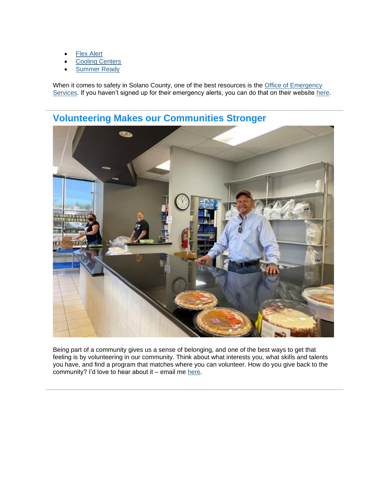- **[Flex Alert](https://gcc02.safelinks.protection.outlook.com/?url=https%3A%2F%2Furldefense.proofpoint.com%2Fv2%2Furl%3Fu%3Dhttps-3A__www.flexalert.org_%26d%3DDwMFaQ%26c%3De71KFwQiz1Uq9SWN1ahPySYgwkr698SChpwjtuH1HMQ%26r%3Dr_rL1qMOPyx3ERWLoO9KSb_VPahVVki-UCdAEU-6nxs%26m%3D8xHZopQxIgGcPE4RGmnsm5ecZnrm3YxNE9oGJtIfnsg%26s%3D3QyrWfbQdiJzvkfkoMLtKpnoDPOWkayPSuwrKWnDNtc%26e%3D&data=04%7C01%7C%7Ce21d71c9ca2e415a3c9708d947d76010%7C5e7f20ace5f14f838c3bce44b8486421%7C0%7C0%7C637619812626792436%7CUnknown%7CTWFpbGZsb3d8eyJWIjoiMC4wLjAwMDAiLCJQIjoiV2luMzIiLCJBTiI6Ik1haWwiLCJXVCI6Mn0%3D%7C1000&sdata=%2BvkeMCFBSRpUOmsa94DruMpYaeFzm3qmLOjNXu%2BbtTE%3D&reserved=0)**
- **[Cooling Centers](https://gcc02.safelinks.protection.outlook.com/?url=https%3A%2F%2Fwww.solanocounty.com%2Fdepts%2Foes%2Fgrs%2Fcooling_centers%2Fdefault.asp&data=04%7C01%7C%7Ce21d71c9ca2e415a3c9708d947d76010%7C5e7f20ace5f14f838c3bce44b8486421%7C0%7C0%7C637619812626792436%7CUnknown%7CTWFpbGZsb3d8eyJWIjoiMC4wLjAwMDAiLCJQIjoiV2luMzIiLCJBTiI6Ik1haWwiLCJXVCI6Mn0%3D%7C1000&sdata=7Pm7aSB4z%2BxDbOj%2FMjhYpBKC0Q797zIiEN%2FehGEwUtI%3D&reserved=0)**
- **[Summer Ready](https://gcc02.safelinks.protection.outlook.com/?url=https%3A%2F%2Fwww.solanocounty.com%2Fdepts%2Foes%2Fgrs%2Fsummer_ready%2Fdefault.asp&data=04%7C01%7C%7Ce21d71c9ca2e415a3c9708d947d76010%7C5e7f20ace5f14f838c3bce44b8486421%7C0%7C0%7C637619812626802393%7CUnknown%7CTWFpbGZsb3d8eyJWIjoiMC4wLjAwMDAiLCJQIjoiV2luMzIiLCJBTiI6Ik1haWwiLCJXVCI6Mn0%3D%7C1000&sdata=1lTYMavBuMOBW5rGP8n8dqZF1HRaAE4P69eUTGrJx7k%3D&reserved=0)**

When it comes to safety in Solano County, one of the best resources is the [Office of Emergency](https://gcc02.safelinks.protection.outlook.com/?url=https%3A%2F%2Fwww.solanocounty.com%2Fdepts%2Foes%2F&data=04%7C01%7C%7Ce21d71c9ca2e415a3c9708d947d76010%7C5e7f20ace5f14f838c3bce44b8486421%7C0%7C0%7C637619812626802393%7CUnknown%7CTWFpbGZsb3d8eyJWIjoiMC4wLjAwMDAiLCJQIjoiV2luMzIiLCJBTiI6Ik1haWwiLCJXVCI6Mn0%3D%7C1000&sdata=aC0E2xpMQY7mSVkNSghIBSeEvDQGsR%2FtMyFku1f2ZTc%3D&reserved=0)  [Services.](https://gcc02.safelinks.protection.outlook.com/?url=https%3A%2F%2Fwww.solanocounty.com%2Fdepts%2Foes%2F&data=04%7C01%7C%7Ce21d71c9ca2e415a3c9708d947d76010%7C5e7f20ace5f14f838c3bce44b8486421%7C0%7C0%7C637619812626802393%7CUnknown%7CTWFpbGZsb3d8eyJWIjoiMC4wLjAwMDAiLCJQIjoiV2luMzIiLCJBTiI6Ik1haWwiLCJXVCI6Mn0%3D%7C1000&sdata=aC0E2xpMQY7mSVkNSghIBSeEvDQGsR%2FtMyFku1f2ZTc%3D&reserved=0) If you haven't signed up for their emergency alerts, you can do that on their website [here.](https://gcc02.safelinks.protection.outlook.com/?url=https%3A%2F%2Fwww.solanocounty.com%2Fdepts%2Foes%2F&data=04%7C01%7C%7Ce21d71c9ca2e415a3c9708d947d76010%7C5e7f20ace5f14f838c3bce44b8486421%7C0%7C0%7C637619812626812350%7CUnknown%7CTWFpbGZsb3d8eyJWIjoiMC4wLjAwMDAiLCJQIjoiV2luMzIiLCJBTiI6Ik1haWwiLCJXVCI6Mn0%3D%7C1000&sdata=%2BiI7EbQXtRcsu%2FEEnSGZ98OY%2Fv%2FAfkSNTnwZXge4%2BKU%3D&reserved=0)



**Volunteering Makes our Communities Stronger**

Being part of a community gives us a sense of belonging, and one of the best ways to get that feeling is by volunteering in our community. Think about what interests you, what skills and talents you have, and find a program that matches where you can volunteer. How do you give back to the community? I'd love to hear about it – email me [here.](mailto:MHMashburn@SolanoCounty.com)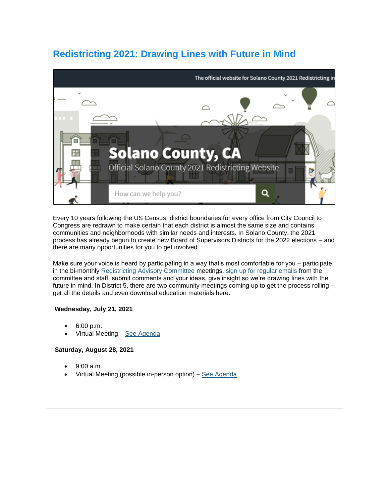# **Redistricting 2021: Drawing Lines with Future in Mind**



Every 10 years following the US Census, district boundaries for every office from City Council to Congress are redrawn to make certain that each district is almost the same size and contains communities and neighborhoods with similar needs and interests. In Solano County, the 2021 process has already begun to create new Board of Supervisors Districts for the 2022 elections – and there are many opportunities for you to get involved.

Make sure your voice is heard by participating in a way that's most comfortable for you – participate in the bi-monthly [Redistricting Advisory Committee](https://gcc02.safelinks.protection.outlook.com/?url=https%3A%2F%2Fredistricting.solanocounty.com%2Fredistricting-advisory-committee%2F&data=04%7C01%7C%7Ce21d71c9ca2e415a3c9708d947d76010%7C5e7f20ace5f14f838c3bce44b8486421%7C0%7C0%7C637619812626812350%7CUnknown%7CTWFpbGZsb3d8eyJWIjoiMC4wLjAwMDAiLCJQIjoiV2luMzIiLCJBTiI6Ik1haWwiLCJXVCI6Mn0%3D%7C1000&sdata=zoQitTorsDWqAqIBDHgJfSy7CPR0KkekJTAqapkyVmw%3D&reserved=0) meetings, [sign up for regular emails f](https://gcc02.safelinks.protection.outlook.com/?url=https%3A%2F%2Fredistricting.solanocounty.com%2Fsubscribe%2F&data=04%7C01%7C%7Ce21d71c9ca2e415a3c9708d947d76010%7C5e7f20ace5f14f838c3bce44b8486421%7C0%7C0%7C637619812626822304%7CUnknown%7CTWFpbGZsb3d8eyJWIjoiMC4wLjAwMDAiLCJQIjoiV2luMzIiLCJBTiI6Ik1haWwiLCJXVCI6Mn0%3D%7C1000&sdata=ReJpPRHJ%2FUZI71EVfEUb7V73pqoT5FEGof47pZM6z4o%3D&reserved=0)rom the committee and staff, submit comments and your ideas, give insight so we're drawing lines with the future in mind. In District 5, there are two community meetings coming up to get the process rolling – get all the details and even download education materials here.

#### **Wednesday, July 21, 2021**

- 6:00 p.m.
- Virtual Meeting [See Agenda](https://gcc02.safelinks.protection.outlook.com/?url=https%3A%2F%2Fredistricting.solanocounty.com%2Fmeetings%2Foutreach-meeting-005%2F%23%2Ftab-agenda&data=04%7C01%7C%7Ce21d71c9ca2e415a3c9708d947d76010%7C5e7f20ace5f14f838c3bce44b8486421%7C0%7C0%7C637619812626822304%7CUnknown%7CTWFpbGZsb3d8eyJWIjoiMC4wLjAwMDAiLCJQIjoiV2luMzIiLCJBTiI6Ik1haWwiLCJXVCI6Mn0%3D%7C1000&sdata=Y8q7bAvQO%2Bn2OybpRERRQDsLjrnkNsM8kB8cvYAtz9A%3D&reserved=0)

### **Saturday, August 28, 2021**

- 9:00 a.m.
- Virtual Meeting (possible in-person option) [See Agenda](https://gcc02.safelinks.protection.outlook.com/?url=https%3A%2F%2Fredistricting.solanocounty.com%2Fmeetings%2Foutreach-meeting-001%2F%23%2Ftab-agenda&data=04%7C01%7C%7Ce21d71c9ca2e415a3c9708d947d76010%7C5e7f20ace5f14f838c3bce44b8486421%7C0%7C0%7C637619812626832263%7CUnknown%7CTWFpbGZsb3d8eyJWIjoiMC4wLjAwMDAiLCJQIjoiV2luMzIiLCJBTiI6Ik1haWwiLCJXVCI6Mn0%3D%7C1000&sdata=i4H3WsD3kzjcFccY4oJ9f8zMYe0voj%2B3rAK%2FXd2E2vc%3D&reserved=0)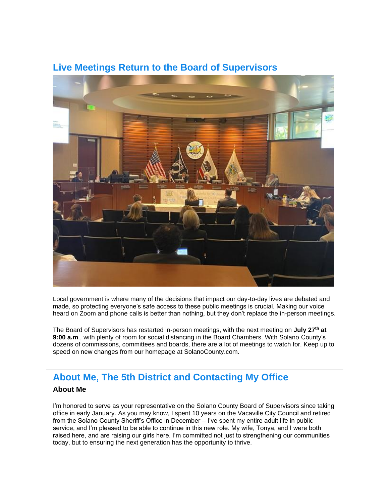

### **Live Meetings Return to the Board of Supervisors**

Local government is where many of the decisions that impact our day-to-day lives are debated and made, so protecting everyone's safe access to these public meetings is crucial. Making our voice heard on Zoom and phone calls is better than nothing, but they don't replace the in-person meetings.

The Board of Supervisors has restarted in-person meetings, with the next meeting on **July 27th at 9:00 a.m**., with plenty of room for social distancing in the Board Chambers. With Solano County's dozens of commissions, committees and boards, there are a lot of meetings to watch for. Keep up to speed on new changes from our homepage at SolanoCounty.com.

## **About Me, The 5th District and Contacting My Office**

### **About Me**

I'm honored to serve as your representative on the Solano County Board of Supervisors since taking office in early January. As you may know, I spent 10 years on the Vacaville City Council and retired from the Solano County Sheriff's Office in December – I've spent my entire adult life in public service, and I'm pleased to be able to continue in this new role. My wife, Tonya, and I were both raised here, and are raising our girls here. I'm committed not just to strengthening our communities today, but to ensuring the next generation has the opportunity to thrive.